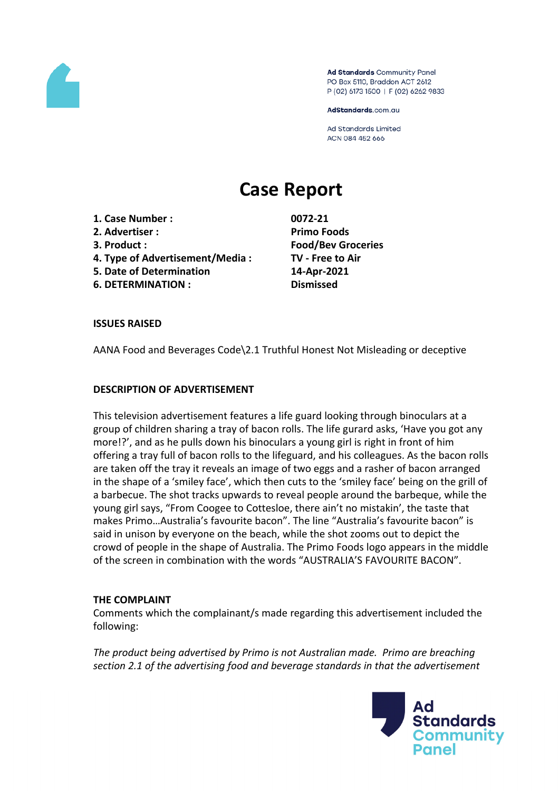

Ad Standards Community Panel PO Box 5110, Braddon ACT 2612 P (02) 6173 1500 | F (02) 6262 9833

AdStandards.com.au

**Ad Standards Limited** ACN 084 452 666

# **Case Report**

- **1. Case Number : 0072-21**
- **2. Advertiser : Primo Foods**
- 
- **4. Type of Advertisement/Media : TV - Free to Air**
- **5. Date of Determination 14-Apr-2021**
- **6. DETERMINATION : Dismissed**

**3. Product : Food/Bev Groceries**

## **ISSUES RAISED**

AANA Food and Beverages Code\2.1 Truthful Honest Not Misleading or deceptive

## **DESCRIPTION OF ADVERTISEMENT**

This television advertisement features a life guard looking through binoculars at a group of children sharing a tray of bacon rolls. The life gurard asks, 'Have you got any more!?', and as he pulls down his binoculars a young girl is right in front of him offering a tray full of bacon rolls to the lifeguard, and his colleagues. As the bacon rolls are taken off the tray it reveals an image of two eggs and a rasher of bacon arranged in the shape of a 'smiley face', which then cuts to the 'smiley face' being on the grill of a barbecue. The shot tracks upwards to reveal people around the barbeque, while the young girl says, "From Coogee to Cottesloe, there ain't no mistakin', the taste that makes Primo…Australia's favourite bacon". The line "Australia's favourite bacon" is said in unison by everyone on the beach, while the shot zooms out to depict the crowd of people in the shape of Australia. The Primo Foods logo appears in the middle of the screen in combination with the words "AUSTRALIA'S FAVOURITE BACON".

## **THE COMPLAINT**

Comments which the complainant/s made regarding this advertisement included the following:

*The product being advertised by Primo is not Australian made. Primo are breaching section 2.1 of the advertising food and beverage standards in that the advertisement*

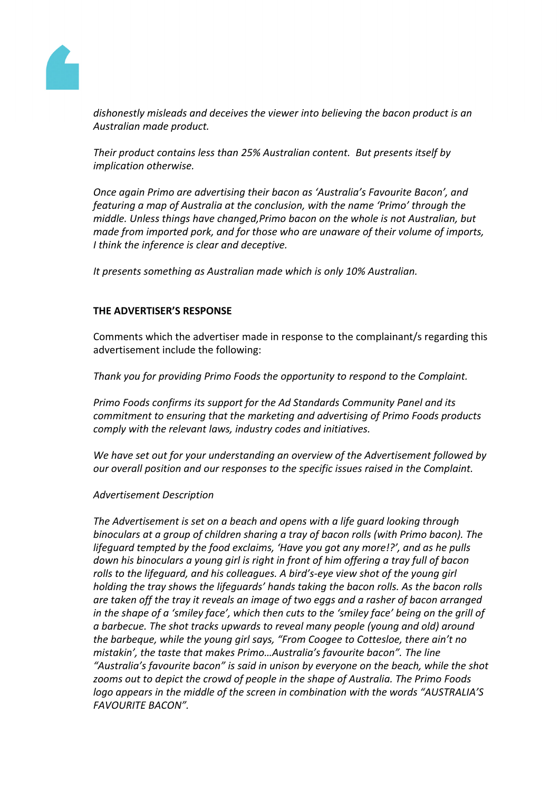

*dishonestly misleads and deceives the viewer into believing the bacon product is an Australian made product.*

*Their product contains less than 25% Australian content. But presents itself by implication otherwise.*

*Once again Primo are advertising their bacon as 'Australia's Favourite Bacon', and featuring a map of Australia at the conclusion, with the name 'Primo' through the middle. Unless things have changed,Primo bacon on the whole is not Australian, but made from imported pork, and for those who are unaware of their volume of imports, I think the inference is clear and deceptive.*

*It presents something as Australian made which is only 10% Australian.*

# **THE ADVERTISER'S RESPONSE**

Comments which the advertiser made in response to the complainant/s regarding this advertisement include the following:

*Thank you for providing Primo Foods the opportunity to respond to the Complaint.*

*Primo Foods confirms its support for the Ad Standards Community Panel and its commitment to ensuring that the marketing and advertising of Primo Foods products comply with the relevant laws, industry codes and initiatives.*

*We have set out for your understanding an overview of the Advertisement followed by our overall position and our responses to the specific issues raised in the Complaint.*

## *Advertisement Description*

*The Advertisement is set on a beach and opens with a life guard looking through binoculars at a group of children sharing a tray of bacon rolls (with Primo bacon). The lifeguard tempted by the food exclaims, 'Have you got any more!?', and as he pulls down his binoculars a young girl is right in front of him offering a tray full of bacon rolls to the lifeguard, and his colleagues. A bird's-eye view shot of the young girl holding the tray shows the lifeguards' hands taking the bacon rolls. As the bacon rolls are taken off the tray it reveals an image of two eggs and a rasher of bacon arranged in the shape of a 'smiley face', which then cuts to the 'smiley face' being on the grill of a barbecue. The shot tracks upwards to reveal many people (young and old) around the barbeque, while the young girl says, "From Coogee to Cottesloe, there ain't no mistakin', the taste that makes Primo…Australia's favourite bacon". The line "Australia's favourite bacon" is said in unison by everyone on the beach, while the shot zooms out to depict the crowd of people in the shape of Australia. The Primo Foods logo appears in the middle of the screen in combination with the words "AUSTRALIA'S FAVOURITE BACON".*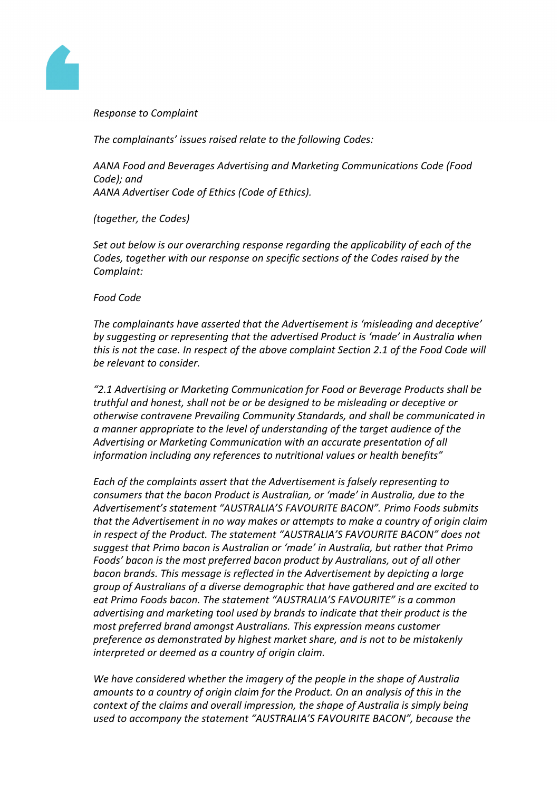

*Response to Complaint*

*The complainants' issues raised relate to the following Codes:*

*AANA Food and Beverages Advertising and Marketing Communications Code (Food Code); and AANA Advertiser Code of Ethics (Code of Ethics).*

*(together, the Codes)*

*Set out below is our overarching response regarding the applicability of each of the Codes, together with our response on specific sections of the Codes raised by the Complaint:*

#### *Food Code*

*The complainants have asserted that the Advertisement is 'misleading and deceptive' by suggesting or representing that the advertised Product is 'made' in Australia when this is not the case. In respect of the above complaint Section 2.1 of the Food Code will be relevant to consider.*

*"2.1 Advertising or Marketing Communication for Food or Beverage Products shall be truthful and honest, shall not be or be designed to be misleading or deceptive or otherwise contravene Prevailing Community Standards, and shall be communicated in a manner appropriate to the level of understanding of the target audience of the Advertising or Marketing Communication with an accurate presentation of all information including any references to nutritional values or health benefits"*

*Each of the complaints assert that the Advertisement is falsely representing to consumers that the bacon Product is Australian, or 'made' in Australia, due to the Advertisement's statement "AUSTRALIA'S FAVOURITE BACON". Primo Foods submits that the Advertisement in no way makes or attempts to make a country of origin claim in respect of the Product. The statement "AUSTRALIA'S FAVOURITE BACON" does not suggest that Primo bacon is Australian or 'made' in Australia, but rather that Primo Foods' bacon is the most preferred bacon product by Australians, out of all other bacon brands. This message is reflected in the Advertisement by depicting a large group of Australians of a diverse demographic that have gathered and are excited to eat Primo Foods bacon. The statement "AUSTRALIA'S FAVOURITE" is a common advertising and marketing tool used by brands to indicate that their product is the most preferred brand amongst Australians. This expression means customer preference as demonstrated by highest market share, and is not to be mistakenly interpreted or deemed as a country of origin claim.*

*We have considered whether the imagery of the people in the shape of Australia amounts to a country of origin claim for the Product. On an analysis of this in the context of the claims and overall impression, the shape of Australia is simply being used to accompany the statement "AUSTRALIA'S FAVOURITE BACON", because the*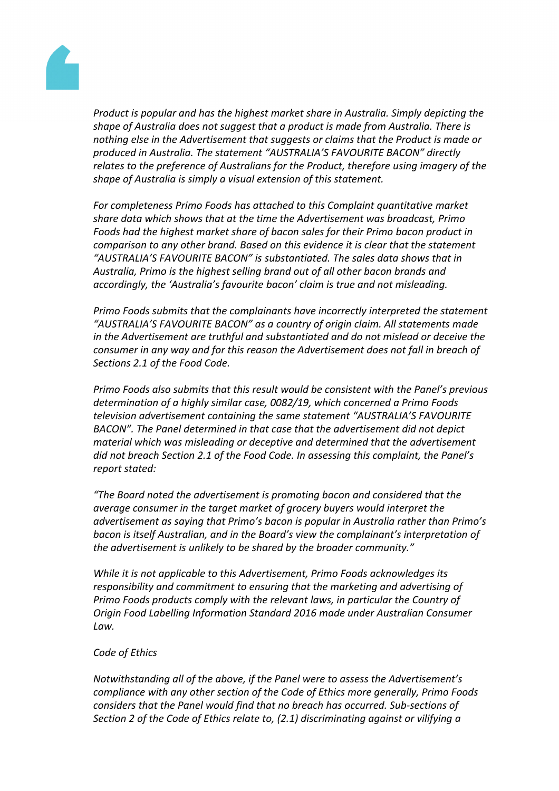

*Product is popular and has the highest market share in Australia. Simply depicting the shape of Australia does not suggest that a product is made from Australia. There is nothing else in the Advertisement that suggests or claims that the Product is made or produced in Australia. The statement "AUSTRALIA'S FAVOURITE BACON" directly relates to the preference of Australians for the Product, therefore using imagery of the shape of Australia is simply a visual extension of this statement.*

*For completeness Primo Foods has attached to this Complaint quantitative market share data which shows that at the time the Advertisement was broadcast, Primo Foods had the highest market share of bacon sales for their Primo bacon product in comparison to any other brand. Based on this evidence it is clear that the statement "AUSTRALIA'S FAVOURITE BACON" is substantiated. The sales data shows that in Australia, Primo is the highest selling brand out of all other bacon brands and accordingly, the 'Australia's favourite bacon' claim is true and not misleading.*

*Primo Foods submits that the complainants have incorrectly interpreted the statement "AUSTRALIA'S FAVOURITE BACON" as a country of origin claim. All statements made in the Advertisement are truthful and substantiated and do not mislead or deceive the consumer in any way and for this reason the Advertisement does not fall in breach of Sections 2.1 of the Food Code.*

*Primo Foods also submits that this result would be consistent with the Panel's previous determination of a highly similar case, 0082/19, which concerned a Primo Foods television advertisement containing the same statement "AUSTRALIA'S FAVOURITE BACON". The Panel determined in that case that the advertisement did not depict material which was misleading or deceptive and determined that the advertisement did not breach Section 2.1 of the Food Code. In assessing this complaint, the Panel's report stated:*

*"The Board noted the advertisement is promoting bacon and considered that the average consumer in the target market of grocery buyers would interpret the advertisement as saying that Primo's bacon is popular in Australia rather than Primo's bacon is itself Australian, and in the Board's view the complainant's interpretation of the advertisement is unlikely to be shared by the broader community."*

*While it is not applicable to this Advertisement, Primo Foods acknowledges its responsibility and commitment to ensuring that the marketing and advertising of Primo Foods products comply with the relevant laws, in particular the Country of Origin Food Labelling Information Standard 2016 made under Australian Consumer Law.*

## *Code of Ethics*

*Notwithstanding all of the above, if the Panel were to assess the Advertisement's compliance with any other section of the Code of Ethics more generally, Primo Foods considers that the Panel would find that no breach has occurred. Sub-sections of Section 2 of the Code of Ethics relate to, (2.1) discriminating against or vilifying a*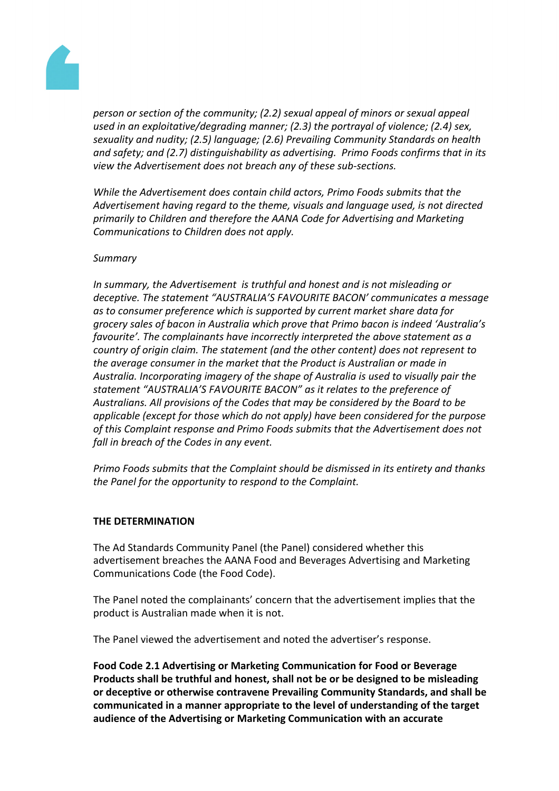

*person or section of the community; (2.2) sexual appeal of minors or sexual appeal used in an exploitative/degrading manner; (2.3) the portrayal of violence; (2.4) sex, sexuality and nudity; (2.5) language; (2.6) Prevailing Community Standards on health and safety; and (2.7) distinguishability as advertising. Primo Foods confirms that in its view the Advertisement does not breach any of these sub-sections.*

*While the Advertisement does contain child actors, Primo Foods submits that the Advertisement having regard to the theme, visuals and language used, is not directed primarily to Children and therefore the AANA Code for Advertising and Marketing Communications to Children does not apply.*

## *Summary*

*In summary, the Advertisement is truthful and honest and is not misleading or deceptive. The statement "AUSTRALIA'S FAVOURITE BACON' communicates a message as to consumer preference which is supported by current market share data for grocery sales of bacon in Australia which prove that Primo bacon is indeed 'Australia's favourite'. The complainants have incorrectly interpreted the above statement as a country of origin claim. The statement (and the other content) does not represent to the average consumer in the market that the Product is Australian or made in Australia. Incorporating imagery of the shape of Australia is used to visually pair the statement "AUSTRALIA'S FAVOURITE BACON" as it relates to the preference of Australians. All provisions of the Codes that may be considered by the Board to be applicable (except for those which do not apply) have been considered for the purpose of this Complaint response and Primo Foods submits that the Advertisement does not fall in breach of the Codes in any event.*

*Primo Foods submits that the Complaint should be dismissed in its entirety and thanks the Panel for the opportunity to respond to the Complaint.*

#### **THE DETERMINATION**

The Ad Standards Community Panel (the Panel) considered whether this advertisement breaches the AANA Food and Beverages Advertising and Marketing Communications Code (the Food Code).

The Panel noted the complainants' concern that the advertisement implies that the product is Australian made when it is not.

The Panel viewed the advertisement and noted the advertiser's response.

**Food Code 2.1 Advertising or Marketing Communication for Food or Beverage Products shall be truthful and honest, shall not be or be designed to be misleading or deceptive or otherwise contravene Prevailing Community Standards, and shall be communicated in a manner appropriate to the level of understanding of the target audience of the Advertising or Marketing Communication with an accurate**